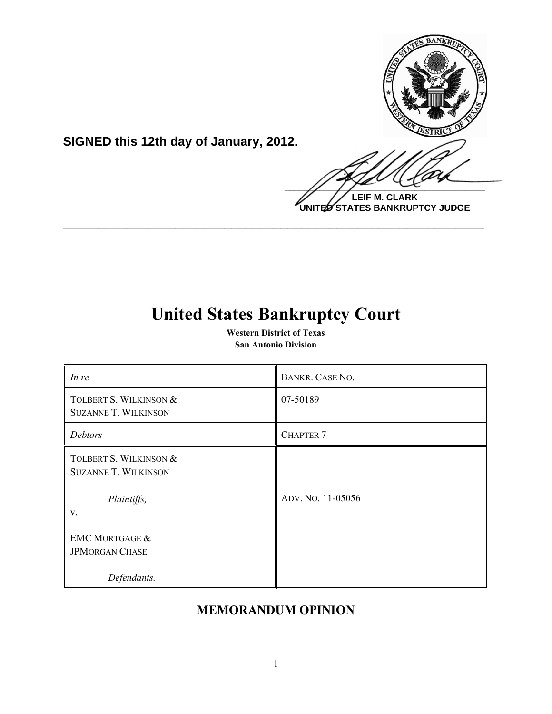

**SIGNED this 12th day of January, 2012.**

**LEIF M. CLARK UNITED STATES BANKRUPTCY JUDGE**

# **United States Bankruptcy Court**

**\_\_\_\_\_\_\_\_\_\_\_\_\_\_\_\_\_\_\_\_\_\_\_\_\_\_\_\_\_\_\_\_\_\_\_\_\_\_\_\_\_\_\_\_\_\_\_\_\_\_\_\_\_\_\_\_\_\_\_\_**

**Western District of Texas San Antonio Division**

| In re                                                                | BANKR. CASE NO.   |
|----------------------------------------------------------------------|-------------------|
| TOLBERT S. WILKINSON &<br><b>SUZANNE T. WILKINSON</b>                | 07-50189          |
| Debtors                                                              | <b>CHAPTER 7</b>  |
| TOLBERT S. WILKINSON &<br><b>SUZANNE T. WILKINSON</b><br>Plaintiffs, | ADV. NO. 11-05056 |
| V.                                                                   |                   |
| <b>EMC MORTGAGE &amp;</b><br><b>JPMORGAN CHASE</b>                   |                   |
| Defendants.                                                          |                   |

# **MEMORANDUM OPINION**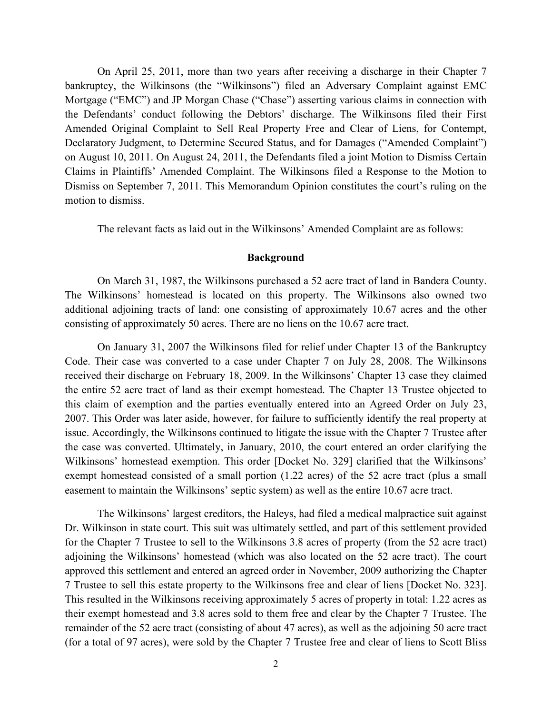On April 25, 2011, more than two years after receiving a discharge in their Chapter 7 bankruptcy, the Wilkinsons (the "Wilkinsons") filed an Adversary Complaint against EMC Mortgage ("EMC") and JP Morgan Chase ("Chase") asserting various claims in connection with the Defendants' conduct following the Debtors' discharge. The Wilkinsons filed their First Amended Original Complaint to Sell Real Property Free and Clear of Liens, for Contempt, Declaratory Judgment, to Determine Secured Status, and for Damages ("Amended Complaint") on August 10, 2011. On August 24, 2011, the Defendants filed a joint Motion to Dismiss Certain Claims in Plaintiffs' Amended Complaint. The Wilkinsons filed a Response to the Motion to Dismiss on September 7, 2011. This Memorandum Opinion constitutes the court's ruling on the motion to dismiss.

The relevant facts as laid out in the Wilkinsons' Amended Complaint are as follows:

#### **Background**

On March 31, 1987, the Wilkinsons purchased a 52 acre tract of land in Bandera County. The Wilkinsons' homestead is located on this property. The Wilkinsons also owned two additional adjoining tracts of land: one consisting of approximately 10.67 acres and the other consisting of approximately 50 acres. There are no liens on the 10.67 acre tract.

On January 31, 2007 the Wilkinsons filed for relief under Chapter 13 of the Bankruptcy Code. Their case was converted to a case under Chapter 7 on July 28, 2008. The Wilkinsons received their discharge on February 18, 2009. In the Wilkinsons' Chapter 13 case they claimed the entire 52 acre tract of land as their exempt homestead. The Chapter 13 Trustee objected to this claim of exemption and the parties eventually entered into an Agreed Order on July 23, 2007. This Order was later aside, however, for failure to sufficiently identify the real property at issue. Accordingly, the Wilkinsons continued to litigate the issue with the Chapter 7 Trustee after the case was converted. Ultimately, in January, 2010, the court entered an order clarifying the Wilkinsons' homestead exemption. This order [Docket No. 329] clarified that the Wilkinsons' exempt homestead consisted of a small portion (1.22 acres) of the 52 acre tract (plus a small easement to maintain the Wilkinsons' septic system) as well as the entire 10.67 acre tract.

The Wilkinsons' largest creditors, the Haleys, had filed a medical malpractice suit against Dr. Wilkinson in state court. This suit was ultimately settled, and part of this settlement provided for the Chapter 7 Trustee to sell to the Wilkinsons 3.8 acres of property (from the 52 acre tract) adjoining the Wilkinsons' homestead (which was also located on the 52 acre tract). The court approved this settlement and entered an agreed order in November, 2009 authorizing the Chapter 7 Trustee to sell this estate property to the Wilkinsons free and clear of liens [Docket No. 323]. This resulted in the Wilkinsons receiving approximately 5 acres of property in total: 1.22 acres as their exempt homestead and 3.8 acres sold to them free and clear by the Chapter 7 Trustee. The remainder of the 52 acre tract (consisting of about 47 acres), as well as the adjoining 50 acre tract (for a total of 97 acres), were sold by the Chapter 7 Trustee free and clear of liens to Scott Bliss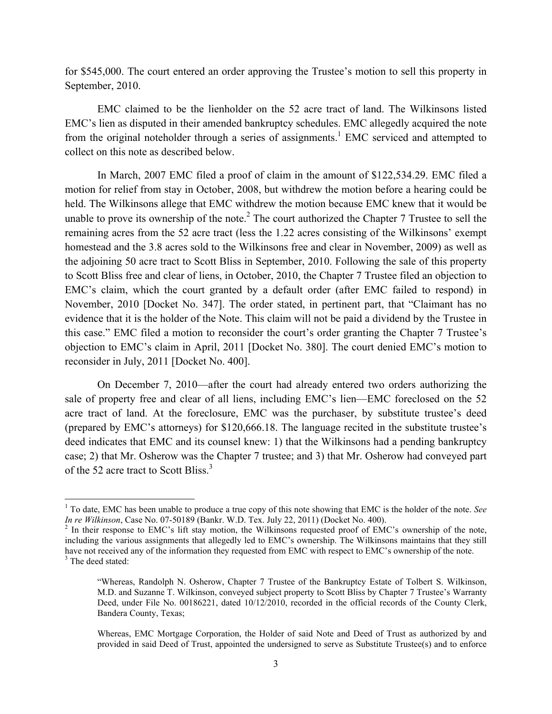for \$545,000. The court entered an order approving the Trustee's motion to sell this property in September, 2010.

EMC claimed to be the lienholder on the 52 acre tract of land. The Wilkinsons listed EMC's lien as disputed in their amended bankruptcy schedules. EMC allegedly acquired the note from the original noteholder through a series of assignments.<sup>1</sup> EMC serviced and attempted to collect on this note as described below.

In March, 2007 EMC filed a proof of claim in the amount of \$122,534.29. EMC filed a motion for relief from stay in October, 2008, but withdrew the motion before a hearing could be held. The Wilkinsons allege that EMC withdrew the motion because EMC knew that it would be unable to prove its ownership of the note.<sup>2</sup> The court authorized the Chapter 7 Trustee to sell the remaining acres from the 52 acre tract (less the 1.22 acres consisting of the Wilkinsons' exempt homestead and the 3.8 acres sold to the Wilkinsons free and clear in November, 2009) as well as the adjoining 50 acre tract to Scott Bliss in September, 2010. Following the sale of this property to Scott Bliss free and clear of liens, in October, 2010, the Chapter 7 Trustee filed an objection to EMC's claim, which the court granted by a default order (after EMC failed to respond) in November, 2010 [Docket No. 347]. The order stated, in pertinent part, that "Claimant has no evidence that it is the holder of the Note. This claim will not be paid a dividend by the Trustee in this case." EMC filed a motion to reconsider the court's order granting the Chapter 7 Trustee's objection to EMC's claim in April, 2011 [Docket No. 380]. The court denied EMC's motion to reconsider in July, 2011 [Docket No. 400].

On December 7, 2010—after the court had already entered two orders authorizing the sale of property free and clear of all liens, including EMC's lien—EMC foreclosed on the 52 acre tract of land. At the foreclosure, EMC was the purchaser, by substitute trustee's deed (prepared by EMC's attorneys) for \$120,666.18. The language recited in the substitute trustee's deed indicates that EMC and its counsel knew: 1) that the Wilkinsons had a pending bankruptcy case; 2) that Mr. Osherow was the Chapter 7 trustee; and 3) that Mr. Osherow had conveyed part of the 52 acre tract to Scott Bliss.<sup>3</sup>

!!!!!!!!!!!!!!!!!!!!!!!!!!!!!!!!!!!!!!!!!!!!!!!!!!!!!!!!!!!

<sup>&</sup>lt;sup>1</sup> To date, EMC has been unable to produce a true copy of this note showing that EMC is the holder of the note. *See In re Wilkinson*, Case No. 07-50189 (Bankr. W.D. Tex. July 22, 2011) (Docket No. 400).<br><sup>2</sup> In their response to EMC's lift stay motion, the Wilkinsons requested proof of EMC's ownership of the note,

including the various assignments that allegedly led to EMC's ownership. The Wilkinsons maintains that they still have not received any of the information they requested from EMC with respect to EMC's ownership of the note. <sup>3</sup> The deed stated:

<sup>&</sup>quot;Whereas, Randolph N. Osherow, Chapter 7 Trustee of the Bankruptcy Estate of Tolbert S. Wilkinson, M.D. and Suzanne T. Wilkinson, conveyed subject property to Scott Bliss by Chapter 7 Trustee's Warranty Deed, under File No. 00186221, dated 10/12/2010, recorded in the official records of the County Clerk, Bandera County, Texas;

Whereas, EMC Mortgage Corporation, the Holder of said Note and Deed of Trust as authorized by and provided in said Deed of Trust, appointed the undersigned to serve as Substitute Trustee(s) and to enforce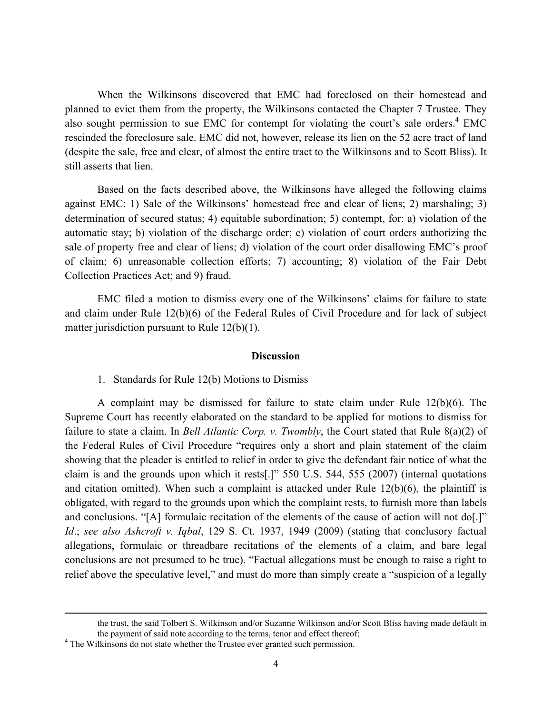When the Wilkinsons discovered that EMC had foreclosed on their homestead and planned to evict them from the property, the Wilkinsons contacted the Chapter 7 Trustee. They also sought permission to sue EMC for contempt for violating the court's sale orders. $4 \text{ EMC}$ rescinded the foreclosure sale. EMC did not, however, release its lien on the 52 acre tract of land (despite the sale, free and clear, of almost the entire tract to the Wilkinsons and to Scott Bliss). It still asserts that lien.

Based on the facts described above, the Wilkinsons have alleged the following claims against EMC: 1) Sale of the Wilkinsons' homestead free and clear of liens; 2) marshaling; 3) determination of secured status; 4) equitable subordination; 5) contempt, for: a) violation of the automatic stay; b) violation of the discharge order; c) violation of court orders authorizing the sale of property free and clear of liens; d) violation of the court order disallowing EMC's proof of claim; 6) unreasonable collection efforts; 7) accounting; 8) violation of the Fair Debt Collection Practices Act; and 9) fraud.

EMC filed a motion to dismiss every one of the Wilkinsons' claims for failure to state and claim under Rule 12(b)(6) of the Federal Rules of Civil Procedure and for lack of subject matter jurisdiction pursuant to Rule 12(b)(1).

#### **Discussion**

1. Standards for Rule 12(b) Motions to Dismiss

A complaint may be dismissed for failure to state claim under Rule 12(b)(6). The Supreme Court has recently elaborated on the standard to be applied for motions to dismiss for failure to state a claim. In *Bell Atlantic Corp. v. Twombly*, the Court stated that Rule 8(a)(2) of the Federal Rules of Civil Procedure "requires only a short and plain statement of the claim showing that the pleader is entitled to relief in order to give the defendant fair notice of what the claim is and the grounds upon which it rests[.]" 550 U.S. 544, 555 (2007) (internal quotations and citation omitted). When such a complaint is attacked under Rule  $12(b)(6)$ , the plaintiff is obligated, with regard to the grounds upon which the complaint rests, to furnish more than labels and conclusions. "[A] formulaic recitation of the elements of the cause of action will not do[.]" *Id*.; *see also Ashcroft v. Iqbal*, 129 S. Ct. 1937, 1949 (2009) (stating that conclusory factual allegations, formulaic or threadbare recitations of the elements of a claim, and bare legal conclusions are not presumed to be true). "Factual allegations must be enough to raise a right to relief above the speculative level," and must do more than simply create a "suspicion of a legally

!!!!!!!!!!!!!!!!!!!!!!!!!!!!!!!!!!!!!!!!!!!!!!!!!!!!!!!!!!!!!!!!!!!!!!!!!!!!!!!!!!!!!!!!!!!!!!!!!!!!!!!!!!!!!!!!!!!!!!!!!!!!!!!!!!!!!!!!!!!!!!!!!!!!!!!!!!!!!!!!!!!!!!!!!!!!!!!!!!!!!!!!!!!!!!!

the trust, the said Tolbert S. Wilkinson and/or Suzanne Wilkinson and/or Scott Bliss having made default in the payment of said note according to the terms, tenor and effect thereof; 4 The Wilkinsons do not state whether the Trustee ever granted such permission.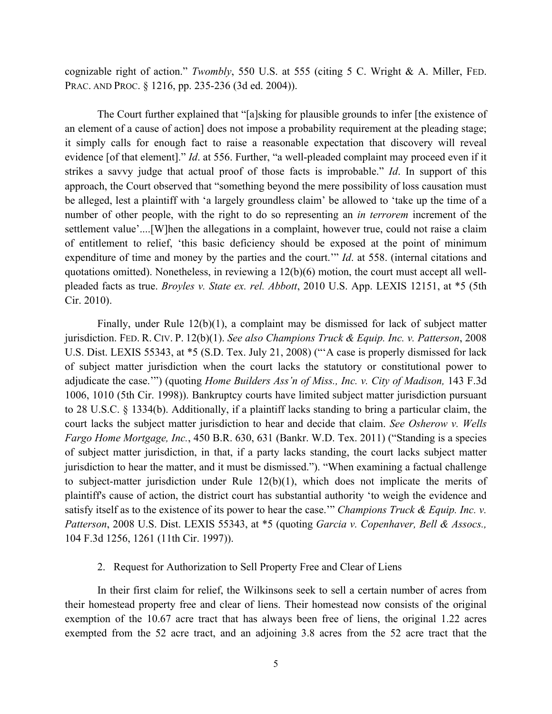cognizable right of action." *Twombly*, 550 U.S. at 555 (citing 5 C. Wright & A. Miller, FED. PRAC. AND PROC. § 1216, pp. 235-236 (3d ed. 2004)).

The Court further explained that "[a]sking for plausible grounds to infer [the existence of an element of a cause of action] does not impose a probability requirement at the pleading stage; it simply calls for enough fact to raise a reasonable expectation that discovery will reveal evidence [of that element]." *Id*. at 556. Further, "a well-pleaded complaint may proceed even if it strikes a savvy judge that actual proof of those facts is improbable." *Id*. In support of this approach, the Court observed that "something beyond the mere possibility of loss causation must be alleged, lest a plaintiff with 'a largely groundless claim' be allowed to 'take up the time of a number of other people, with the right to do so representing an *in terrorem* increment of the settlement value'....[W]hen the allegations in a complaint, however true, could not raise a claim of entitlement to relief, 'this basic deficiency should be exposed at the point of minimum expenditure of time and money by the parties and the court.'" *Id*. at 558. (internal citations and quotations omitted). Nonetheless, in reviewing a 12(b)(6) motion, the court must accept all wellpleaded facts as true. *Broyles v. State ex. rel. Abbott*, 2010 U.S. App. LEXIS 12151, at \*5 (5th Cir. 2010).

Finally, under Rule 12(b)(1), a complaint may be dismissed for lack of subject matter jurisdiction. FED. R. CIV. P. 12(b)(1). *See also Champions Truck & Equip. Inc. v. Patterson*, 2008 U.S. Dist. LEXIS 55343, at \*5 (S.D. Tex. July 21, 2008) ("'A case is properly dismissed for lack of subject matter jurisdiction when the court lacks the statutory or constitutional power to adjudicate the case.'") (quoting *Home Builders Ass'n of Miss., Inc. v. City of Madison,* 143 F.3d 1006, 1010 (5th Cir. 1998)). Bankruptcy courts have limited subject matter jurisdiction pursuant to 28 U.S.C. § 1334(b). Additionally, if a plaintiff lacks standing to bring a particular claim, the court lacks the subject matter jurisdiction to hear and decide that claim. *See Osherow v. Wells Fargo Home Mortgage, Inc.*, 450 B.R. 630, 631 (Bankr. W.D. Tex. 2011) ("Standing is a species of subject matter jurisdiction, in that, if a party lacks standing, the court lacks subject matter jurisdiction to hear the matter, and it must be dismissed."). "When examining a factual challenge to subject-matter jurisdiction under Rule 12(b)(1), which does not implicate the merits of plaintiff's cause of action, the district court has substantial authority 'to weigh the evidence and satisfy itself as to the existence of its power to hear the case.'" *Champions Truck & Equip. Inc. v. Patterson*, 2008 U.S. Dist. LEXIS 55343, at \*5 (quoting *Garcia v. Copenhaver, Bell & Assocs.,* 104 F.3d 1256, 1261 (11th Cir. 1997)).

## 2. Request for Authorization to Sell Property Free and Clear of Liens

In their first claim for relief, the Wilkinsons seek to sell a certain number of acres from their homestead property free and clear of liens. Their homestead now consists of the original exemption of the 10.67 acre tract that has always been free of liens, the original 1.22 acres exempted from the 52 acre tract, and an adjoining 3.8 acres from the 52 acre tract that the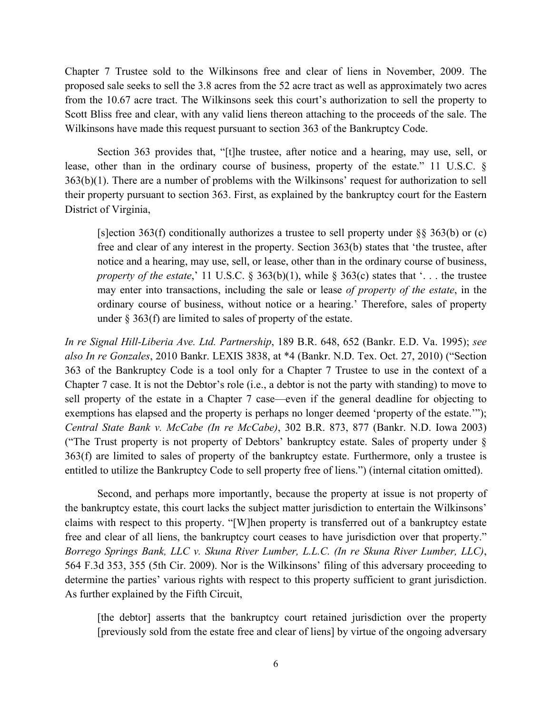Chapter 7 Trustee sold to the Wilkinsons free and clear of liens in November, 2009. The proposed sale seeks to sell the 3.8 acres from the 52 acre tract as well as approximately two acres from the 10.67 acre tract. The Wilkinsons seek this court's authorization to sell the property to Scott Bliss free and clear, with any valid liens thereon attaching to the proceeds of the sale. The Wilkinsons have made this request pursuant to section 363 of the Bankruptcy Code.

Section 363 provides that, "[t]he trustee, after notice and a hearing, may use, sell, or lease, other than in the ordinary course of business, property of the estate." 11 U.S.C. § 363(b)(1). There are a number of problems with the Wilkinsons' request for authorization to sell their property pursuant to section 363. First, as explained by the bankruptcy court for the Eastern District of Virginia,

[s]ection 363(f) conditionally authorizes a trustee to sell property under §§ 363(b) or (c) free and clear of any interest in the property. Section 363(b) states that 'the trustee, after notice and a hearing, may use, sell, or lease, other than in the ordinary course of business, *property of the estate*,' 11 U.S.C. § 363(b)(1), while § 363(c) states that '... the trustee may enter into transactions, including the sale or lease *of property of the estate*, in the ordinary course of business, without notice or a hearing.' Therefore, sales of property under § 363(f) are limited to sales of property of the estate.

*In re Signal Hill-Liberia Ave. Ltd. Partnership*, 189 B.R. 648, 652 (Bankr. E.D. Va. 1995); *see also In re Gonzales*, 2010 Bankr. LEXIS 3838, at \*4 (Bankr. N.D. Tex. Oct. 27, 2010) ("Section 363 of the Bankruptcy Code is a tool only for a Chapter 7 Trustee to use in the context of a Chapter 7 case. It is not the Debtor's role (i.e., a debtor is not the party with standing) to move to sell property of the estate in a Chapter 7 case—even if the general deadline for objecting to exemptions has elapsed and the property is perhaps no longer deemed 'property of the estate.'"); *Central State Bank v. McCabe (In re McCabe)*, 302 B.R. 873, 877 (Bankr. N.D. Iowa 2003) ("The Trust property is not property of Debtors' bankruptcy estate. Sales of property under § 363(f) are limited to sales of property of the bankruptcy estate. Furthermore, only a trustee is entitled to utilize the Bankruptcy Code to sell property free of liens.") (internal citation omitted).

Second, and perhaps more importantly, because the property at issue is not property of the bankruptcy estate, this court lacks the subject matter jurisdiction to entertain the Wilkinsons' claims with respect to this property. "[W]hen property is transferred out of a bankruptcy estate free and clear of all liens, the bankruptcy court ceases to have jurisdiction over that property." *Borrego Springs Bank, LLC v. Skuna River Lumber, L.L.C. (In re Skuna River Lumber, LLC)*, 564 F.3d 353, 355 (5th Cir. 2009). Nor is the Wilkinsons' filing of this adversary proceeding to determine the parties' various rights with respect to this property sufficient to grant jurisdiction. As further explained by the Fifth Circuit,

[the debtor] asserts that the bankruptcy court retained jurisdiction over the property [previously sold from the estate free and clear of liens] by virtue of the ongoing adversary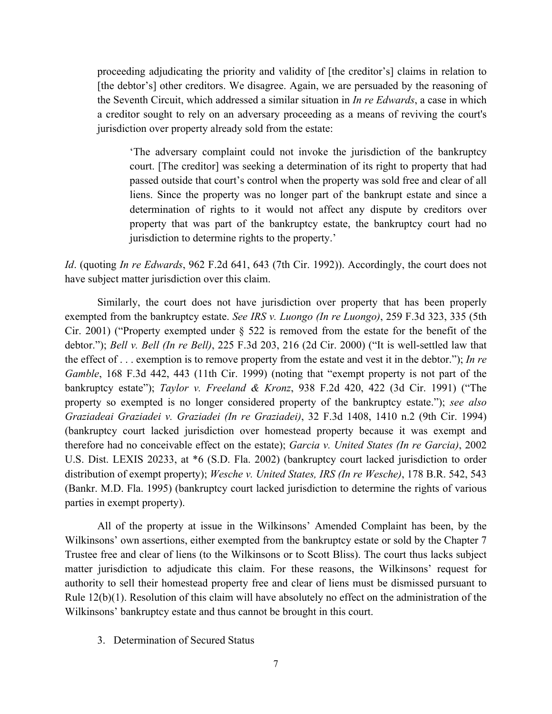proceeding adjudicating the priority and validity of [the creditor's] claims in relation to [the debtor's] other creditors. We disagree. Again, we are persuaded by the reasoning of the Seventh Circuit, which addressed a similar situation in *In re Edwards*, a case in which a creditor sought to rely on an adversary proceeding as a means of reviving the court's jurisdiction over property already sold from the estate:

'The adversary complaint could not invoke the jurisdiction of the bankruptcy court. [The creditor] was seeking a determination of its right to property that had passed outside that court's control when the property was sold free and clear of all liens. Since the property was no longer part of the bankrupt estate and since a determination of rights to it would not affect any dispute by creditors over property that was part of the bankruptcy estate, the bankruptcy court had no jurisdiction to determine rights to the property.'

*Id*. (quoting *In re Edwards*, 962 F.2d 641, 643 (7th Cir. 1992)). Accordingly, the court does not have subject matter jurisdiction over this claim.

Similarly, the court does not have jurisdiction over property that has been properly exempted from the bankruptcy estate. *See IRS v. Luongo (In re Luongo)*, 259 F.3d 323, 335 (5th Cir. 2001) ("Property exempted under § 522 is removed from the estate for the benefit of the debtor."); *Bell v. Bell (In re Bell)*, 225 F.3d 203, 216 (2d Cir. 2000) ("It is well-settled law that the effect of . . . exemption is to remove property from the estate and vest it in the debtor."); *In re Gamble*, 168 F.3d 442, 443 (11th Cir. 1999) (noting that "exempt property is not part of the bankruptcy estate"); *Taylor v. Freeland & Kronz*, 938 F.2d 420, 422 (3d Cir. 1991) ("The property so exempted is no longer considered property of the bankruptcy estate."); *see also Graziadeai Graziadei v. Graziadei (In re Graziadei)*, 32 F.3d 1408, 1410 n.2 (9th Cir. 1994) (bankruptcy court lacked jurisdiction over homestead property because it was exempt and therefore had no conceivable effect on the estate); *Garcia v. United States (In re Garcia)*, 2002 U.S. Dist. LEXIS 20233, at \*6 (S.D. Fla. 2002) (bankruptcy court lacked jurisdiction to order distribution of exempt property); *Wesche v. United States, IRS (In re Wesche)*, 178 B.R. 542, 543 (Bankr. M.D. Fla. 1995) (bankruptcy court lacked jurisdiction to determine the rights of various parties in exempt property).

All of the property at issue in the Wilkinsons' Amended Complaint has been, by the Wilkinsons' own assertions, either exempted from the bankruptcy estate or sold by the Chapter 7 Trustee free and clear of liens (to the Wilkinsons or to Scott Bliss). The court thus lacks subject matter jurisdiction to adjudicate this claim. For these reasons, the Wilkinsons' request for authority to sell their homestead property free and clear of liens must be dismissed pursuant to Rule 12(b)(1). Resolution of this claim will have absolutely no effect on the administration of the Wilkinsons' bankruptcy estate and thus cannot be brought in this court.

3. Determination of Secured Status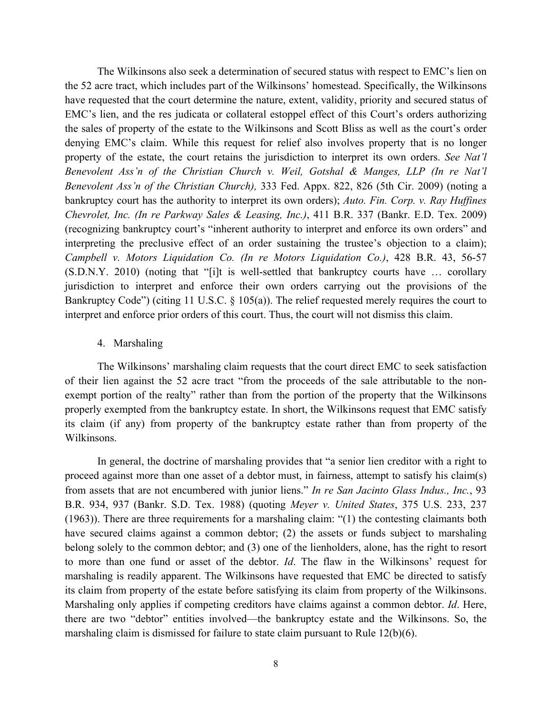The Wilkinsons also seek a determination of secured status with respect to EMC's lien on the 52 acre tract, which includes part of the Wilkinsons' homestead. Specifically, the Wilkinsons have requested that the court determine the nature, extent, validity, priority and secured status of EMC's lien, and the res judicata or collateral estoppel effect of this Court's orders authorizing the sales of property of the estate to the Wilkinsons and Scott Bliss as well as the court's order denying EMC's claim. While this request for relief also involves property that is no longer property of the estate, the court retains the jurisdiction to interpret its own orders. *See Nat'l Benevolent Ass'n of the Christian Church v. Weil, Gotshal & Manges, LLP (In re Nat'l Benevolent Ass'n of the Christian Church),* 333 Fed. Appx. 822, 826 (5th Cir. 2009) (noting a bankruptcy court has the authority to interpret its own orders); *Auto. Fin. Corp. v. Ray Huffines Chevrolet, Inc. (In re Parkway Sales & Leasing, Inc.)*, 411 B.R. 337 (Bankr. E.D. Tex. 2009) (recognizing bankruptcy court's "inherent authority to interpret and enforce its own orders" and interpreting the preclusive effect of an order sustaining the trustee's objection to a claim); *Campbell v. Motors Liquidation Co. (In re Motors Liquidation Co.)*, 428 B.R. 43, 56-57 (S.D.N.Y. 2010) (noting that "[i]t is well-settled that bankruptcy courts have … corollary jurisdiction to interpret and enforce their own orders carrying out the provisions of the Bankruptcy Code") (citing 11 U.S.C. § 105(a)). The relief requested merely requires the court to interpret and enforce prior orders of this court. Thus, the court will not dismiss this claim.

#### 4. Marshaling

The Wilkinsons' marshaling claim requests that the court direct EMC to seek satisfaction of their lien against the 52 acre tract "from the proceeds of the sale attributable to the nonexempt portion of the realty" rather than from the portion of the property that the Wilkinsons properly exempted from the bankruptcy estate. In short, the Wilkinsons request that EMC satisfy its claim (if any) from property of the bankruptcy estate rather than from property of the Wilkinsons.

In general, the doctrine of marshaling provides that "a senior lien creditor with a right to proceed against more than one asset of a debtor must, in fairness, attempt to satisfy his claim(s) from assets that are not encumbered with junior liens." *In re San Jacinto Glass Indus., Inc.*, 93 B.R. 934, 937 (Bankr. S.D. Tex. 1988) (quoting *Meyer v. United States*, 375 U.S. 233, 237 (1963)). There are three requirements for a marshaling claim: "(1) the contesting claimants both have secured claims against a common debtor; (2) the assets or funds subject to marshaling belong solely to the common debtor; and (3) one of the lienholders, alone, has the right to resort to more than one fund or asset of the debtor. *Id*. The flaw in the Wilkinsons' request for marshaling is readily apparent. The Wilkinsons have requested that EMC be directed to satisfy its claim from property of the estate before satisfying its claim from property of the Wilkinsons. Marshaling only applies if competing creditors have claims against a common debtor. *Id*. Here, there are two "debtor" entities involved—the bankruptcy estate and the Wilkinsons. So, the marshaling claim is dismissed for failure to state claim pursuant to Rule 12(b)(6).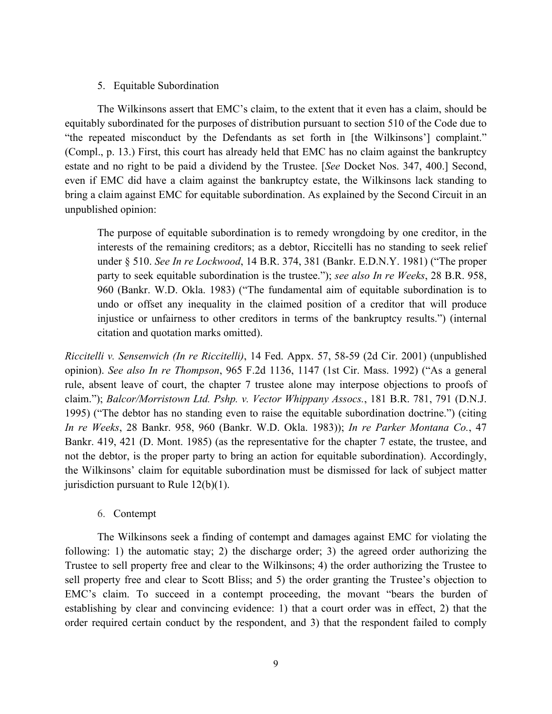#### 5. Equitable Subordination

The Wilkinsons assert that EMC's claim, to the extent that it even has a claim, should be equitably subordinated for the purposes of distribution pursuant to section 510 of the Code due to "the repeated misconduct by the Defendants as set forth in [the Wilkinsons'] complaint." (Compl., p. 13.) First, this court has already held that EMC has no claim against the bankruptcy estate and no right to be paid a dividend by the Trustee. [*See* Docket Nos. 347, 400.] Second, even if EMC did have a claim against the bankruptcy estate, the Wilkinsons lack standing to bring a claim against EMC for equitable subordination. As explained by the Second Circuit in an unpublished opinion:

The purpose of equitable subordination is to remedy wrongdoing by one creditor, in the interests of the remaining creditors; as a debtor, Riccitelli has no standing to seek relief under § 510. *See In re Lockwood*, 14 B.R. 374, 381 (Bankr. E.D.N.Y. 1981) ("The proper party to seek equitable subordination is the trustee."); *see also In re Weeks*, 28 B.R. 958, 960 (Bankr. W.D. Okla. 1983) ("The fundamental aim of equitable subordination is to undo or offset any inequality in the claimed position of a creditor that will produce injustice or unfairness to other creditors in terms of the bankruptcy results.") (internal citation and quotation marks omitted).

*Riccitelli v. Sensenwich (In re Riccitelli)*, 14 Fed. Appx. 57, 58-59 (2d Cir. 2001) (unpublished opinion). *See also In re Thompson*, 965 F.2d 1136, 1147 (1st Cir. Mass. 1992) ("As a general rule, absent leave of court, the chapter 7 trustee alone may interpose objections to proofs of claim."); *Balcor/Morristown Ltd. Pshp. v. Vector Whippany Assocs.*, 181 B.R. 781, 791 (D.N.J. 1995) ("The debtor has no standing even to raise the equitable subordination doctrine.") (citing *In re Weeks*, 28 Bankr. 958, 960 (Bankr. W.D. Okla. 1983)); *In re Parker Montana Co.*, 47 Bankr. 419, 421 (D. Mont. 1985) (as the representative for the chapter 7 estate, the trustee, and not the debtor, is the proper party to bring an action for equitable subordination). Accordingly, the Wilkinsons' claim for equitable subordination must be dismissed for lack of subject matter jurisdiction pursuant to Rule 12(b)(1).

6. Contempt

The Wilkinsons seek a finding of contempt and damages against EMC for violating the following: 1) the automatic stay; 2) the discharge order; 3) the agreed order authorizing the Trustee to sell property free and clear to the Wilkinsons; 4) the order authorizing the Trustee to sell property free and clear to Scott Bliss; and 5) the order granting the Trustee's objection to EMC's claim. To succeed in a contempt proceeding, the movant "bears the burden of establishing by clear and convincing evidence: 1) that a court order was in effect, 2) that the order required certain conduct by the respondent, and 3) that the respondent failed to comply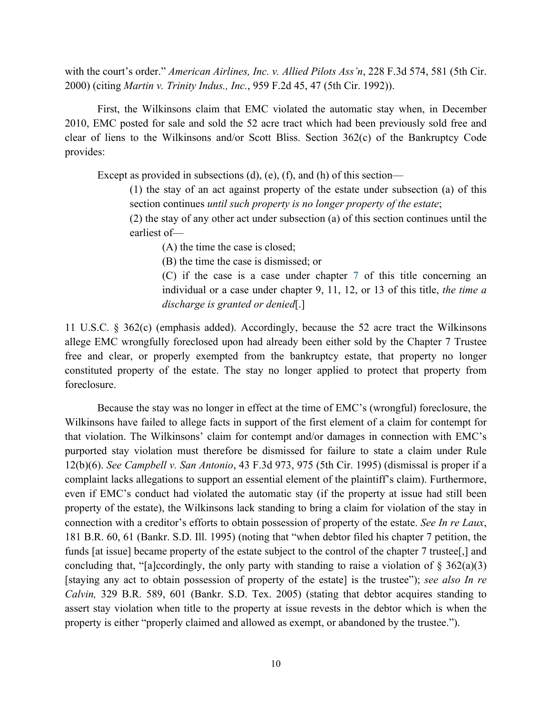with the court's order." *American Airlines, Inc. v. Allied Pilots Ass'n*, 228 F.3d 574, 581 (5th Cir. 2000) (citing *Martin v. Trinity Indus., Inc.*, 959 F.2d 45, 47 (5th Cir. 1992)).

First, the Wilkinsons claim that EMC violated the automatic stay when, in December 2010, EMC posted for sale and sold the 52 acre tract which had been previously sold free and clear of liens to the Wilkinsons and/or Scott Bliss. Section 362(c) of the Bankruptcy Code provides:

Except as provided in subsections (d), (e), (f), and (h) of this section—

(1) the stay of an act against property of the estate under subsection (a) of this section continues *until such property is no longer property of the estate*;

(2) the stay of any other act under subsection (a) of this section continues until the earliest of—

(A) the time the case is closed;

(B) the time the case is dismissed; or

(C) if the case is a case under chapter 7 of this title concerning an individual or a case under chapter 9, 11, 12, or 13 of this title, *the time a discharge is granted or denied*[.]

11 U.S.C. § 362(c) (emphasis added). Accordingly, because the 52 acre tract the Wilkinsons allege EMC wrongfully foreclosed upon had already been either sold by the Chapter 7 Trustee free and clear, or properly exempted from the bankruptcy estate, that property no longer constituted property of the estate. The stay no longer applied to protect that property from foreclosure.

Because the stay was no longer in effect at the time of EMC's (wrongful) foreclosure, the Wilkinsons have failed to allege facts in support of the first element of a claim for contempt for that violation. The Wilkinsons' claim for contempt and/or damages in connection with EMC's purported stay violation must therefore be dismissed for failure to state a claim under Rule 12(b)(6). *See Campbell v. San Antonio*, 43 F.3d 973, 975 (5th Cir. 1995) (dismissal is proper if a complaint lacks allegations to support an essential element of the plaintiff's claim). Furthermore, even if EMC's conduct had violated the automatic stay (if the property at issue had still been property of the estate), the Wilkinsons lack standing to bring a claim for violation of the stay in connection with a creditor's efforts to obtain possession of property of the estate. *See In re Laux*, 181 B.R. 60, 61 (Bankr. S.D. Ill. 1995) (noting that "when debtor filed his chapter 7 petition, the funds [at issue] became property of the estate subject to the control of the chapter 7 trustee[,] and concluding that, "[a]ccordingly, the only party with standing to raise a violation of  $\S$  362(a)(3) [staying any act to obtain possession of property of the estate] is the trustee"); *see also In re Calvin,* 329 B.R. 589, 601 (Bankr. S.D. Tex. 2005) (stating that debtor acquires standing to assert stay violation when title to the property at issue revests in the debtor which is when the property is either "properly claimed and allowed as exempt, or abandoned by the trustee.").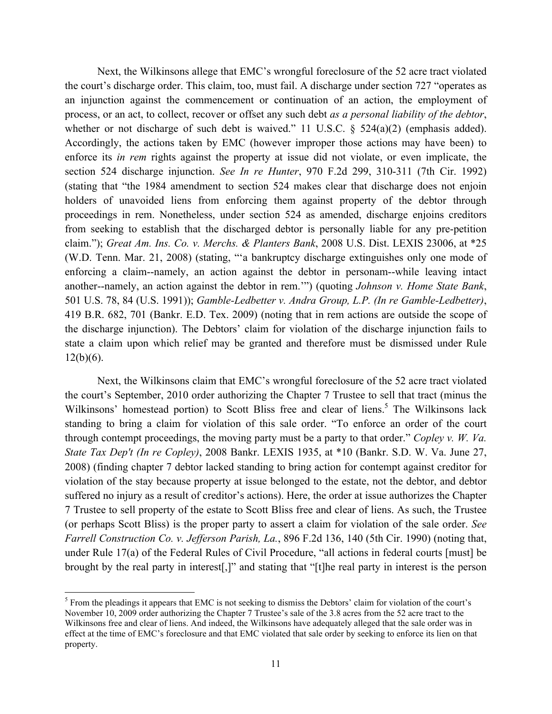Next, the Wilkinsons allege that EMC's wrongful foreclosure of the 52 acre tract violated the court's discharge order. This claim, too, must fail. A discharge under section 727 "operates as an injunction against the commencement or continuation of an action, the employment of process, or an act, to collect, recover or offset any such debt *as a personal liability of the debtor*, whether or not discharge of such debt is waived." 11 U.S.C. § 524(a)(2) (emphasis added). Accordingly, the actions taken by EMC (however improper those actions may have been) to enforce its *in rem* rights against the property at issue did not violate, or even implicate, the section 524 discharge injunction. *See In re Hunter*, 970 F.2d 299, 310-311 (7th Cir. 1992) (stating that "the 1984 amendment to section 524 makes clear that discharge does not enjoin holders of unavoided liens from enforcing them against property of the debtor through proceedings in rem. Nonetheless, under section 524 as amended, discharge enjoins creditors from seeking to establish that the discharged debtor is personally liable for any pre-petition claim."); *Great Am. Ins. Co. v. Merchs. & Planters Bank*, 2008 U.S. Dist. LEXIS 23006, at \*25 (W.D. Tenn. Mar. 21, 2008) (stating, "'a bankruptcy discharge extinguishes only one mode of enforcing a claim--namely, an action against the debtor in personam--while leaving intact another--namely, an action against the debtor in rem.'") (quoting *Johnson v. Home State Bank*, 501 U.S. 78, 84 (U.S. 1991)); *Gamble-Ledbetter v. Andra Group, L.P. (In re Gamble-Ledbetter)*, 419 B.R. 682, 701 (Bankr. E.D. Tex. 2009) (noting that in rem actions are outside the scope of the discharge injunction). The Debtors' claim for violation of the discharge injunction fails to state a claim upon which relief may be granted and therefore must be dismissed under Rule  $12(b)(6)$ .

Next, the Wilkinsons claim that EMC's wrongful foreclosure of the 52 acre tract violated the court's September, 2010 order authorizing the Chapter 7 Trustee to sell that tract (minus the Wilkinsons' homestead portion) to Scott Bliss free and clear of liens.<sup>5</sup> The Wilkinsons lack standing to bring a claim for violation of this sale order. "To enforce an order of the court through contempt proceedings, the moving party must be a party to that order." *Copley v. W. Va. State Tax Dep't (In re Copley)*, 2008 Bankr. LEXIS 1935, at \*10 (Bankr. S.D. W. Va. June 27, 2008) (finding chapter 7 debtor lacked standing to bring action for contempt against creditor for violation of the stay because property at issue belonged to the estate, not the debtor, and debtor suffered no injury as a result of creditor's actions). Here, the order at issue authorizes the Chapter 7 Trustee to sell property of the estate to Scott Bliss free and clear of liens. As such, the Trustee (or perhaps Scott Bliss) is the proper party to assert a claim for violation of the sale order. *See Farrell Construction Co. v. Jefferson Parish, La.*, 896 F.2d 136, 140 (5th Cir. 1990) (noting that, under Rule 17(a) of the Federal Rules of Civil Procedure, "all actions in federal courts [must] be brought by the real party in interest[,]" and stating that "[t]he real party in interest is the person

!!!!!!!!!!!!!!!!!!!!!!!!!!!!!!!!!!!!!!!!!!!!!!!!!!!!!!!!!!!

<sup>&</sup>lt;sup>5</sup> From the pleadings it appears that EMC is not seeking to dismiss the Debtors' claim for violation of the court's November 10, 2009 order authorizing the Chapter 7 Trustee's sale of the 3.8 acres from the 52 acre tract to the Wilkinsons free and clear of liens. And indeed, the Wilkinsons have adequately alleged that the sale order was in effect at the time of EMC's foreclosure and that EMC violated that sale order by seeking to enforce its lien on that property.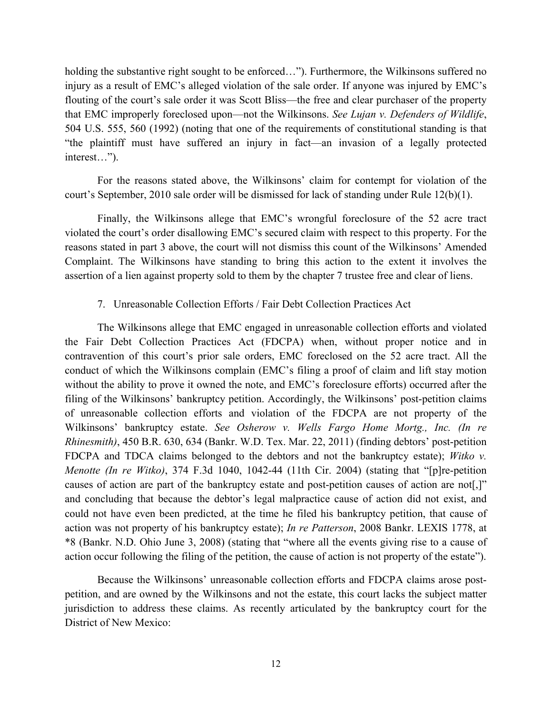holding the substantive right sought to be enforced..."). Furthermore, the Wilkinsons suffered no injury as a result of EMC's alleged violation of the sale order. If anyone was injured by EMC's flouting of the court's sale order it was Scott Bliss—the free and clear purchaser of the property that EMC improperly foreclosed upon—not the Wilkinsons. *See Lujan v. Defenders of Wildlife*, 504 U.S. 555, 560 (1992) (noting that one of the requirements of constitutional standing is that "the plaintiff must have suffered an injury in fact—an invasion of a legally protected interest…").

For the reasons stated above, the Wilkinsons' claim for contempt for violation of the court's September, 2010 sale order will be dismissed for lack of standing under Rule 12(b)(1).

Finally, the Wilkinsons allege that EMC's wrongful foreclosure of the 52 acre tract violated the court's order disallowing EMC's secured claim with respect to this property. For the reasons stated in part 3 above, the court will not dismiss this count of the Wilkinsons' Amended Complaint. The Wilkinsons have standing to bring this action to the extent it involves the assertion of a lien against property sold to them by the chapter 7 trustee free and clear of liens.

# 7. Unreasonable Collection Efforts / Fair Debt Collection Practices Act

The Wilkinsons allege that EMC engaged in unreasonable collection efforts and violated the Fair Debt Collection Practices Act (FDCPA) when, without proper notice and in contravention of this court's prior sale orders, EMC foreclosed on the 52 acre tract. All the conduct of which the Wilkinsons complain (EMC's filing a proof of claim and lift stay motion without the ability to prove it owned the note, and EMC's foreclosure efforts) occurred after the filing of the Wilkinsons' bankruptcy petition. Accordingly, the Wilkinsons' post-petition claims of unreasonable collection efforts and violation of the FDCPA are not property of the Wilkinsons' bankruptcy estate. *See Osherow v. Wells Fargo Home Mortg., Inc. (In re Rhinesmith)*, 450 B.R. 630, 634 (Bankr. W.D. Tex. Mar. 22, 2011) (finding debtors' post-petition FDCPA and TDCA claims belonged to the debtors and not the bankruptcy estate); *Witko v. Menotte (In re Witko)*, 374 F.3d 1040, 1042-44 (11th Cir. 2004) (stating that "[p]re-petition causes of action are part of the bankruptcy estate and post-petition causes of action are not[,]" and concluding that because the debtor's legal malpractice cause of action did not exist, and could not have even been predicted, at the time he filed his bankruptcy petition, that cause of action was not property of his bankruptcy estate); *In re Patterson*, 2008 Bankr. LEXIS 1778, at \*8 (Bankr. N.D. Ohio June 3, 2008) (stating that "where all the events giving rise to a cause of action occur following the filing of the petition, the cause of action is not property of the estate").

Because the Wilkinsons' unreasonable collection efforts and FDCPA claims arose postpetition, and are owned by the Wilkinsons and not the estate, this court lacks the subject matter jurisdiction to address these claims. As recently articulated by the bankruptcy court for the District of New Mexico: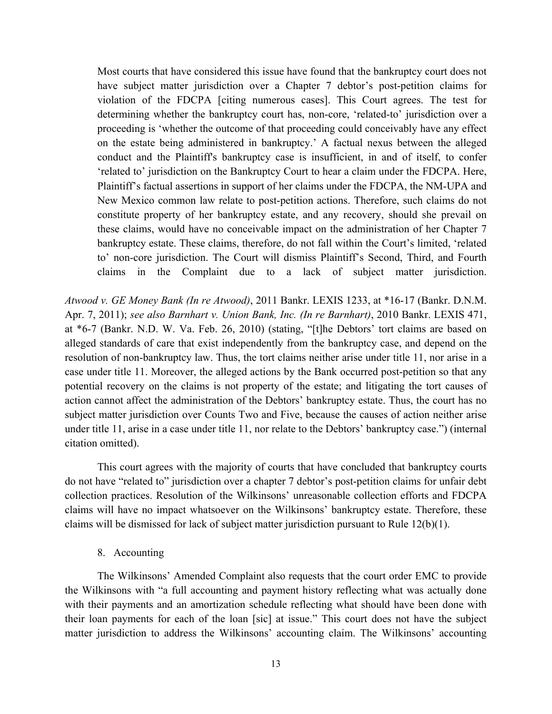Most courts that have considered this issue have found that the bankruptcy court does not have subject matter jurisdiction over a Chapter 7 debtor's post-petition claims for violation of the FDCPA [citing numerous cases]. This Court agrees. The test for determining whether the bankruptcy court has, non-core, 'related-to' jurisdiction over a proceeding is 'whether the outcome of that proceeding could conceivably have any effect on the estate being administered in bankruptcy.' A factual nexus between the alleged conduct and the Plaintiff's bankruptcy case is insufficient, in and of itself, to confer 'related to' jurisdiction on the Bankruptcy Court to hear a claim under the FDCPA. Here, Plaintiff's factual assertions in support of her claims under the FDCPA, the NM-UPA and New Mexico common law relate to post-petition actions. Therefore, such claims do not constitute property of her bankruptcy estate, and any recovery, should she prevail on these claims, would have no conceivable impact on the administration of her Chapter 7 bankruptcy estate. These claims, therefore, do not fall within the Court's limited, 'related to' non-core jurisdiction. The Court will dismiss Plaintiff's Second, Third, and Fourth claims in the Complaint due to a lack of subject matter jurisdiction.

*Atwood v. GE Money Bank (In re Atwood)*, 2011 Bankr. LEXIS 1233, at \*16-17 (Bankr. D.N.M. Apr. 7, 2011); *see also Barnhart v. Union Bank, Inc. (In re Barnhart)*, 2010 Bankr. LEXIS 471, at \*6-7 (Bankr. N.D. W. Va. Feb. 26, 2010) (stating, "[t]he Debtors' tort claims are based on alleged standards of care that exist independently from the bankruptcy case, and depend on the resolution of non-bankruptcy law. Thus, the tort claims neither arise under title 11, nor arise in a case under title 11. Moreover, the alleged actions by the Bank occurred post-petition so that any potential recovery on the claims is not property of the estate; and litigating the tort causes of action cannot affect the administration of the Debtors' bankruptcy estate. Thus, the court has no subject matter jurisdiction over Counts Two and Five, because the causes of action neither arise under title 11, arise in a case under title 11, nor relate to the Debtors' bankruptcy case.") (internal citation omitted).

This court agrees with the majority of courts that have concluded that bankruptcy courts do not have "related to" jurisdiction over a chapter 7 debtor's post-petition claims for unfair debt collection practices. Resolution of the Wilkinsons' unreasonable collection efforts and FDCPA claims will have no impact whatsoever on the Wilkinsons' bankruptcy estate. Therefore, these claims will be dismissed for lack of subject matter jurisdiction pursuant to Rule 12(b)(1).

## 8. Accounting

The Wilkinsons' Amended Complaint also requests that the court order EMC to provide the Wilkinsons with "a full accounting and payment history reflecting what was actually done with their payments and an amortization schedule reflecting what should have been done with their loan payments for each of the loan [sic] at issue." This court does not have the subject matter jurisdiction to address the Wilkinsons' accounting claim. The Wilkinsons' accounting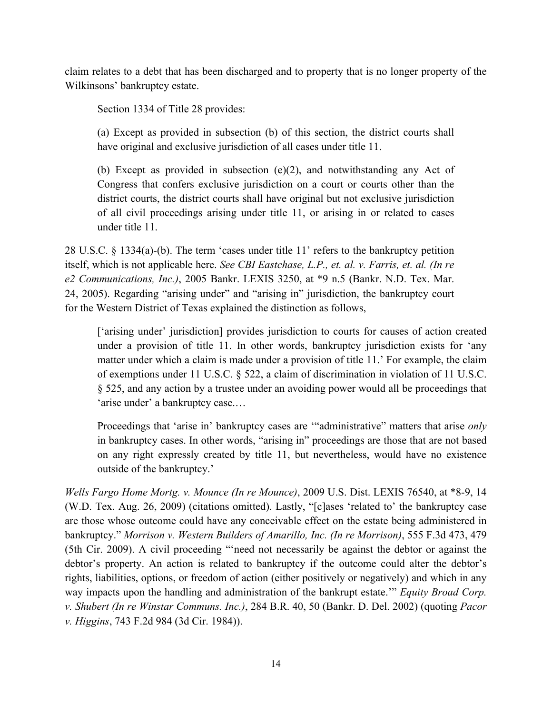claim relates to a debt that has been discharged and to property that is no longer property of the Wilkinsons' bankruptcy estate.

Section 1334 of Title 28 provides:

(a) Except as provided in subsection (b) of this section, the district courts shall have original and exclusive jurisdiction of all cases under title 11.

(b) Except as provided in subsection  $(e)(2)$ , and notwithstanding any Act of Congress that confers exclusive jurisdiction on a court or courts other than the district courts, the district courts shall have original but not exclusive jurisdiction of all civil proceedings arising under title 11, or arising in or related to cases under title 11.

28 U.S.C. § 1334(a)-(b). The term 'cases under title 11' refers to the bankruptcy petition itself, which is not applicable here. *See CBI Eastchase, L.P., et. al. v. Farris, et. al. (In re e2 Communications, Inc.)*, 2005 Bankr. LEXIS 3250, at \*9 n.5 (Bankr. N.D. Tex. Mar. 24, 2005). Regarding "arising under" and "arising in" jurisdiction, the bankruptcy court for the Western District of Texas explained the distinction as follows,

['arising under' jurisdiction] provides jurisdiction to courts for causes of action created under a provision of title 11. In other words, bankruptcy jurisdiction exists for 'any matter under which a claim is made under a provision of title 11.' For example, the claim of exemptions under 11 U.S.C. § 522, a claim of discrimination in violation of 11 U.S.C. § 525, and any action by a trustee under an avoiding power would all be proceedings that 'arise under' a bankruptcy case.…

Proceedings that 'arise in' bankruptcy cases are '"administrative" matters that arise *only* in bankruptcy cases. In other words, "arising in" proceedings are those that are not based on any right expressly created by title 11, but nevertheless, would have no existence outside of the bankruptcy.'

*Wells Fargo Home Mortg. v. Mounce (In re Mounce)*, 2009 U.S. Dist. LEXIS 76540, at \*8-9, 14 (W.D. Tex. Aug. 26, 2009) (citations omitted). Lastly, "[c]ases 'related to' the bankruptcy case are those whose outcome could have any conceivable effect on the estate being administered in bankruptcy." *Morrison v. Western Builders of Amarillo, Inc. (In re Morrison)*, 555 F.3d 473, 479 (5th Cir. 2009). A civil proceeding "'need not necessarily be against the debtor or against the debtor's property. An action is related to bankruptcy if the outcome could alter the debtor's rights, liabilities, options, or freedom of action (either positively or negatively) and which in any way impacts upon the handling and administration of the bankrupt estate.'" *Equity Broad Corp. v. Shubert (In re Winstar Communs. Inc.)*, 284 B.R. 40, 50 (Bankr. D. Del. 2002) (quoting *Pacor v. Higgins*, 743 F.2d 984 (3d Cir. 1984)).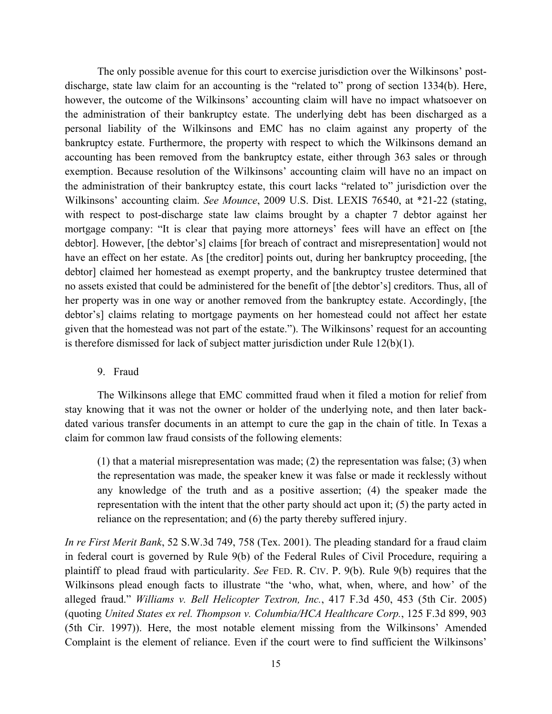The only possible avenue for this court to exercise jurisdiction over the Wilkinsons' postdischarge, state law claim for an accounting is the "related to" prong of section 1334(b). Here, however, the outcome of the Wilkinsons' accounting claim will have no impact whatsoever on the administration of their bankruptcy estate. The underlying debt has been discharged as a personal liability of the Wilkinsons and EMC has no claim against any property of the bankruptcy estate. Furthermore, the property with respect to which the Wilkinsons demand an accounting has been removed from the bankruptcy estate, either through 363 sales or through exemption. Because resolution of the Wilkinsons' accounting claim will have no an impact on the administration of their bankruptcy estate, this court lacks "related to" jurisdiction over the Wilkinsons' accounting claim. *See Mounce*, 2009 U.S. Dist. LEXIS 76540, at \*21-22 (stating, with respect to post-discharge state law claims brought by a chapter 7 debtor against her mortgage company: "It is clear that paying more attorneys' fees will have an effect on [the debtor]. However, [the debtor's] claims [for breach of contract and misrepresentation] would not have an effect on her estate. As [the creditor] points out, during her bankruptcy proceeding, [the debtor] claimed her homestead as exempt property, and the bankruptcy trustee determined that no assets existed that could be administered for the benefit of [the debtor's] creditors. Thus, all of her property was in one way or another removed from the bankruptcy estate. Accordingly, [the debtor's] claims relating to mortgage payments on her homestead could not affect her estate given that the homestead was not part of the estate."). The Wilkinsons' request for an accounting is therefore dismissed for lack of subject matter jurisdiction under Rule 12(b)(1).

# 9. Fraud

The Wilkinsons allege that EMC committed fraud when it filed a motion for relief from stay knowing that it was not the owner or holder of the underlying note, and then later backdated various transfer documents in an attempt to cure the gap in the chain of title. In Texas a claim for common law fraud consists of the following elements:

(1) that a material misrepresentation was made; (2) the representation was false; (3) when the representation was made, the speaker knew it was false or made it recklessly without any knowledge of the truth and as a positive assertion; (4) the speaker made the representation with the intent that the other party should act upon it; (5) the party acted in reliance on the representation; and (6) the party thereby suffered injury.

*In re First Merit Bank*, 52 S.W.3d 749, 758 (Tex. 2001). The pleading standard for a fraud claim in federal court is governed by Rule 9(b) of the Federal Rules of Civil Procedure, requiring a plaintiff to plead fraud with particularity. *See* FED. R. CIV. P. 9(b). Rule 9(b) requires that the Wilkinsons plead enough facts to illustrate "the 'who, what, when, where, and how' of the alleged fraud." *Williams v. Bell Helicopter Textron, Inc.*, 417 F.3d 450, 453 (5th Cir. 2005) (quoting *United States ex rel. Thompson v. Columbia/HCA Healthcare Corp.*, 125 F.3d 899, 903 (5th Cir. 1997)). Here, the most notable element missing from the Wilkinsons' Amended Complaint is the element of reliance. Even if the court were to find sufficient the Wilkinsons'